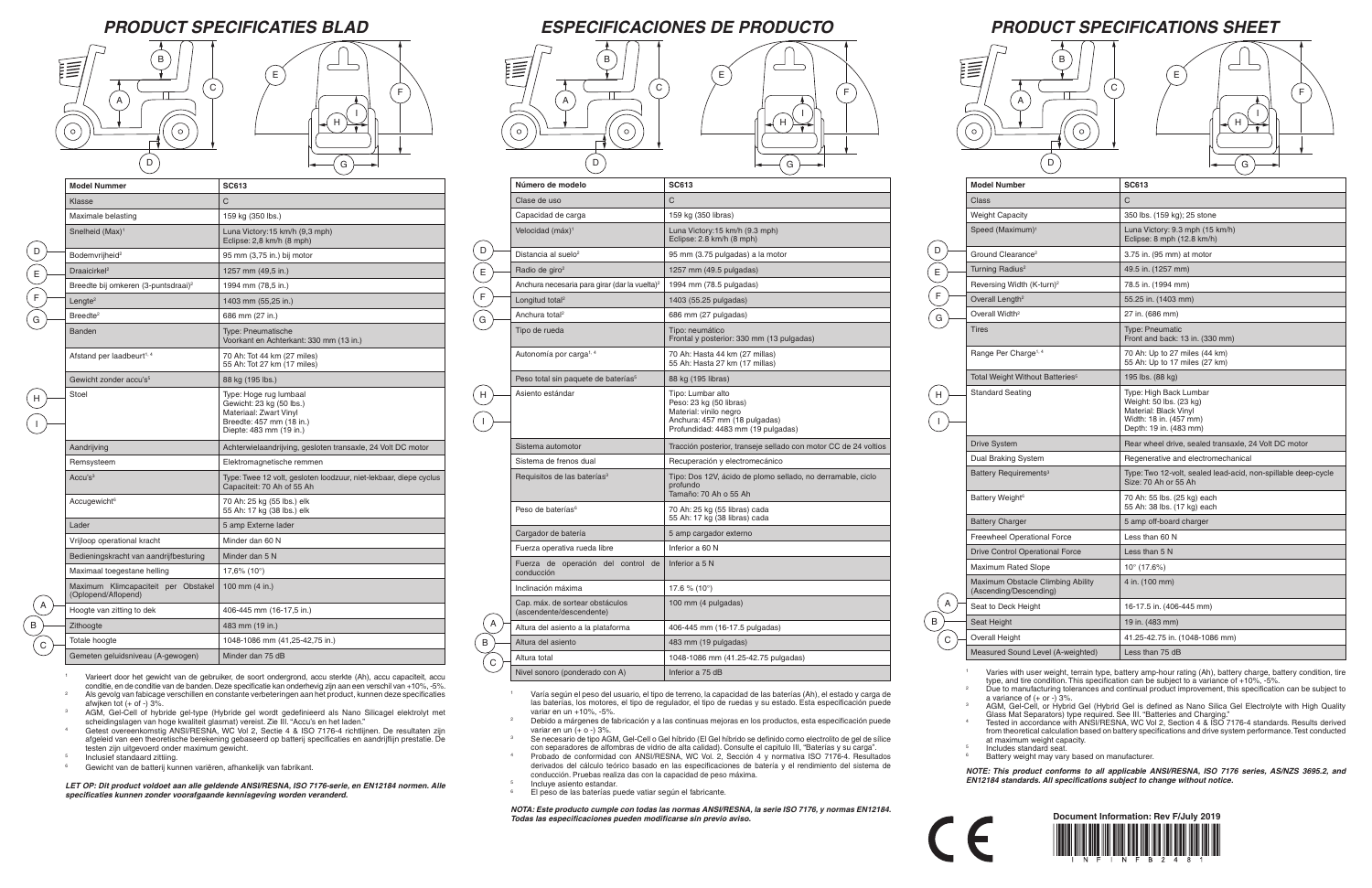# *PRODUCT SPECIFICATIONS SHEET*



 $\overline{C}$ 

| <b>Model Number</b>                                         | <b>SC613</b>                                                                                                                   |
|-------------------------------------------------------------|--------------------------------------------------------------------------------------------------------------------------------|
| Class                                                       | C                                                                                                                              |
| <b>Weight Capacity</b>                                      | 350 lbs. (159 kg); 25 stone                                                                                                    |
| Speed (Maximum) <sup>1</sup>                                | Luna Victory: 9.3 mph (15 km/h)<br>Eclipse: 8 mph (12.8 km/h)                                                                  |
| Ground Clearance <sup>2</sup>                               | 3.75 in. (95 mm) at motor                                                                                                      |
| Turning Radius <sup>2</sup>                                 | 49.5 in. (1257 mm)                                                                                                             |
| Reversing Width (K-turn) <sup>2</sup>                       | 78.5 in. (1994 mm)                                                                                                             |
| Overall Length <sup>2</sup>                                 | 55.25 in. (1403 mm)                                                                                                            |
| Overall Width <sup>2</sup>                                  | 27 in. (686 mm)                                                                                                                |
| <b>Tires</b>                                                | <b>Type: Pneumatic</b><br>Front and back: 13 in. (330 mm)                                                                      |
| Range Per Charge <sup>1, 4</sup>                            | 70 Ah: Up to 27 miles (44 km)<br>55 Ah: Up to 17 miles (27 km)                                                                 |
| Total Weight Without Batteries <sup>5</sup>                 | 195 lbs. (88 kg)                                                                                                               |
| <b>Standard Seating</b>                                     | Type: High Back Lumbar<br>Weight: 50 lbs. (23 kg)<br>Material: Black Vinyl<br>Width: 18 in. (457 mm)<br>Depth: 19 in. (483 mm) |
| <b>Drive System</b>                                         | Rear wheel drive, sealed transaxle, 24 Volt DC motor                                                                           |
| Dual Braking System                                         | Regenerative and electromechanical                                                                                             |
| Battery Requirements <sup>3</sup>                           | Type: Two 12-volt, sealed lead-acid, non-spillable deep-cycle<br>Size: 70 Ah or 55 Ah                                          |
| Battery Weight <sup>6</sup>                                 | 70 Ah: 55 lbs. (25 kg) each<br>55 Ah: 38 lbs. (17 kg) each                                                                     |
| <b>Battery Charger</b>                                      | 5 amp off-board charger                                                                                                        |
| <b>Freewheel Operational Force</b>                          | Less than 60 N                                                                                                                 |
| <b>Drive Control Operational Force</b>                      | Less than 5 N                                                                                                                  |
| <b>Maximum Rated Slope</b>                                  | $10^{\circ}$ (17.6%)                                                                                                           |
| Maximum Obstacle Climbing Ability<br>(Ascending/Descending) | 4 in. (100 mm)                                                                                                                 |
| Seat to Deck Height                                         | 16-17.5 in. (406-445 mm)                                                                                                       |
| Seat Height                                                 | 19 in. (483 mm)                                                                                                                |
| Overall Height                                              | 41.25-42.75 in. (1048-1086 mm)                                                                                                 |
| Measured Sound Level (A-weighted)                           | Less than 75 dB                                                                                                                |

Varies with user weight, terrain type, battery amp-hour rating (Ah), battery charge, battery condition, tire type, and tire condition. This specification can be subject to a variance of +10%, -5%. <sup>2</sup> Due to manufacturing tolerances and continual product improvement, this specification can be subject to

a variance of  $(+$  or  $-$ ) 3%. <sup>3</sup> AGM, Gel-Cell, or Hybrid Gel (Hybrid Gel is defined as Nano Silica Gel Electrolyte with High Quality Glass Mat Separators) type required. See III. "Batteries and Charging."

### *PRODUCT SPECIFICATIES BLAD ESPECIFICACIONES DE PRODUCTO*

- <sup>1</sup> Varía según el peso del usuario, el tipo de terreno, la capacidad de las baterías (Ah), el estado y carga de las baterías, los motores, el tipo de regulador, el tipo de ruedas y su estado. Esta especificación puede variar en un +10%, -5%.
- <sup>2</sup> Debido a márgenes de fabricación y a las continuas mejoras en los productos, esta especificación puede variar en un  $(+ 0 - 3\%$ .
- <sup>3</sup> Se necesario de tipo AGM, Gel-Cell o Gel híbrido (El Gel híbrido se definido como electrolito de gel de sílice con separadores de alfombras de vidrio de alta calidad). Consulte el capitulo III, "Baterías y su carga".
- <sup>4</sup> Probado de conformidad con ANSI/RESNA, WC Vol. 2, Sección 4 y normativa ISO 7176-4. Resultados derivados del cálculo teórico basado en las especificaciones de batería y el rendimiento del sistema de conducción. Pruebas realiza das con la capacidad de peso máxima. Incluye asiento estandar.
- El peso de las baterías puede vatiar según el fabricante.

<sup>4</sup> Tested in accordance with ANSI/RESNA, WC Vol 2, Section 4 & ISO 7176-4 standards. Results derived from theoretical calculation based on battery specifications and drive system performance. Test conducted at maximum weight capacity. <sup>5</sup> Includes standard seat.

Battery weight may vary based on manufacturer.

*NOTE: This product conforms to all applicable ANSI/RESNA, ISO 7176 series, AS/NZS 3695.2, and EN12184 standards. All specifications subject to change without notice.*

| Número de modelo                                            | <b>SC613</b>                                                                                                                                  |
|-------------------------------------------------------------|-----------------------------------------------------------------------------------------------------------------------------------------------|
| Clase de uso                                                | C                                                                                                                                             |
| Capacidad de carga                                          | 159 kg (350 libras)                                                                                                                           |
| Velocidad (máx) <sup>1</sup>                                | Luna Victory: 15 km/h (9.3 mph)<br>Eclipse: 2.8 km/h (8 mph)                                                                                  |
| Distancia al suelo <sup>2</sup>                             | 95 mm (3.75 pulgadas) a la motor                                                                                                              |
| Radio de giro <sup>2</sup>                                  | 1257 mm $(49.5 \text{ pulgadas})$                                                                                                             |
| Anchura necesaria para girar (dar la vuelta) <sup>2</sup>   | 1994 mm (78.5 pulgadas)                                                                                                                       |
| Longitud total <sup>2</sup>                                 | 1403 (55.25 pulgadas)                                                                                                                         |
| Anchura total <sup>2</sup>                                  | 686 mm (27 pulgadas)                                                                                                                          |
| Tipo de rueda                                               | Tipo: neumático<br>Frontal y posterior: 330 mm (13 pulgadas)                                                                                  |
| Autonomía por carga <sup>1, 4</sup>                         | 70 Ah: Hasta 44 km (27 millas)<br>55 Ah: Hasta 27 km (17 millas)                                                                              |
| Peso total sin paquete de baterías <sup>5</sup>             | 88 kg (195 libras)                                                                                                                            |
| Asiento estándar                                            | Tipo: Lumbar alto<br>Peso: 23 kg (50 libras)<br>Material: vinilo negro<br>Anchura: 457 mm (18 pulgadas)<br>Profundidad: 4483 mm (19 pulgadas) |
| Sistema automotor                                           | Tracción posterior, transeje sellado con motor CC de 24 voltios                                                                               |
| Sistema de frenos dual                                      | Recuperación y electromecánico                                                                                                                |
| Requisitos de las baterías <sup>3</sup>                     | Tipo: Dos 12V, ácido de plomo sellado, no derramable, ciclo<br>profundo<br>Tamaño: 70 Ah o 55 Ah                                              |
| Peso de baterías <sup>6</sup>                               | 70 Ah: 25 kg (55 libras) cada<br>55 Ah: 17 kg (38 libras) cada                                                                                |
| Cargador de batería                                         | 5 amp cargador externo                                                                                                                        |
| Fuerza operativa rueda libre                                | Inferior a 60 N                                                                                                                               |
| Fuerza de operación del control de<br>conducción            | Inferior a 5 N                                                                                                                                |
| Inclinación máxima                                          | 17.6 % (10 $^{\circ}$ )                                                                                                                       |
| Cap. máx. de sortear obstáculos<br>(ascendente/descendente) | 100 mm (4 pulgadas)                                                                                                                           |
| Altura del asiento a la plataforma                          | 406-445 mm (16-17.5 pulgadas)                                                                                                                 |
| Altura del asiento                                          | 483 mm (19 pulgadas)                                                                                                                          |
| Altura total                                                | 1048-1086 mm (41.25-42.75 pulgadas)                                                                                                           |
| Nivel sonoro (ponderado con A)                              | Inferior a 75 dB                                                                                                                              |

A B C

D E

F

G

H

I

*NOTA: Este producto cumple con todas las normas ANSI/RESNA, la serie ISO 7176, y normas EN12184. Todas las especificaciones pueden modificarse sin previo aviso.*



| <b>Model Nummer</b>                                        | <b>SC613</b>                                                                                                                        |
|------------------------------------------------------------|-------------------------------------------------------------------------------------------------------------------------------------|
| Klasse                                                     | C                                                                                                                                   |
| Maximale belasting                                         | 159 kg (350 lbs.)                                                                                                                   |
| Snelheid (Max) <sup>1</sup>                                | Luna Victory: 15 km/h (9,3 mph)<br>Eclipse: 2,8 km/h (8 mph)                                                                        |
| Bodemvrijheid <sup>2</sup>                                 | 95 mm (3,75 in.) bij motor                                                                                                          |
| Draaicirkel <sup>2</sup>                                   | 1257 mm (49,5 in.)                                                                                                                  |
| Breedte bij omkeren (3-puntsdraai) <sup>2</sup>            | 1994 mm (78,5 in.)                                                                                                                  |
| Lengte <sup>2</sup>                                        | 1403 mm (55,25 in.)                                                                                                                 |
| Breedte <sup>2</sup>                                       | 686 mm (27 in.)                                                                                                                     |
| Banden                                                     | <b>Type: Pneumatische</b><br>Voorkant en Achterkant: 330 mm (13 in.)                                                                |
| Afstand per laadbeurt <sup>1, 4</sup>                      | 70 Ah: Tot 44 km (27 miles)<br>55 Ah: Tot 27 km (17 miles)                                                                          |
| Gewicht zonder accu's <sup>5</sup>                         | 88 kg (195 lbs.)                                                                                                                    |
| Stoel                                                      | Type: Hoge rug lumbaal<br>Gewicht: 23 kg (50 lbs.)<br>Materiaal: Zwart Vinyl<br>Breedte: 457 mm (18 in.)<br>Diepte: 483 mm (19 in.) |
| Aandrijving                                                | Achterwielaandrijving, gesloten transaxle, 24 Volt DC motor                                                                         |
| Remsysteem                                                 | Elektromagnetische remmen                                                                                                           |
| Accu's $3$                                                 | Type: Twee 12 volt, gesloten loodzuur, niet-lekbaar, diepe cyclus<br>Capaciteit: 70 Ah of 55 Ah                                     |
| Accugewicht <sup>6</sup>                                   | 70 Ah: 25 kg (55 lbs.) elk<br>55 Ah: 17 kg (38 lbs.) elk                                                                            |
| Lader                                                      | 5 amp Externe lader                                                                                                                 |
| Vrijloop operational kracht                                | Minder dan 60 N                                                                                                                     |
| Bedieningskracht van aandrijfbesturing                     | Minder dan 5 N                                                                                                                      |
| Maximaal toegestane helling                                | 17,6% (10°)                                                                                                                         |
| Maximum Klimcapaciteit per Obstakel<br>(Oplopend/Aflopend) | 100 mm (4 in.)                                                                                                                      |
| Hoogte van zitting to dek                                  | 406-445 mm (16-17,5 in.)                                                                                                            |
| Zithoogte                                                  | 483 mm (19 in.)                                                                                                                     |
| Totale hoogte                                              | 1048-1086 mm (41,25-42,75 in.)                                                                                                      |
| Gemeten geluidsniveau (A-gewogen)                          | Minder dan 75 dB                                                                                                                    |

<sup>1</sup> Varieert door het gewicht van de gebruiker, de soort ondergrond, accu sterkte (Ah), accu capaciteit, accu conditie, en de conditie van de banden. Deze specificatie kan onderhevig zijn aan een verschil van +10%, -5%. <sup>2</sup> Als gevolg van fabicage verschillen en constante verbeteringen aan het product, kunnen deze specificaties

- afwjken tot (+ of -) 3%. <sup>3</sup> AGM, Gel-Cell of hybride gel-type (Hybride gel wordt gedefinieerd als Nano Silicagel elektrolyt met
- scheidingslagen van hoge kwaliteit glasmat) vereist. Zie III. "Accu's en het laden." <sup>4</sup> Getest overeenkomstig ANSI/RESNA, WC Vol 2, Sectie 4 & ISO 7176-4 richtlijnen. De resultaten zijn
- afgeleid van een theoretische berekening gebaseerd op batterij specificaties en aandrijflijn prestatie. De testen zijn uitgevoerd onder maximum gewicht. <sup>5</sup> Inclusief standaard zittiing.
- <sup>6</sup> Gewicht van de batterij kunnen variëren, afhankelijk van fabrikant.

 $\overline{B}$ 

*LET OP: Dit product voldoet aan alle geldende ANSI/RESNA, ISO 7176-serie, en EN12184 normen. Alle specificaties kunnen zonder voorafgaande kennisgeving worden veranderd.*





E











F G